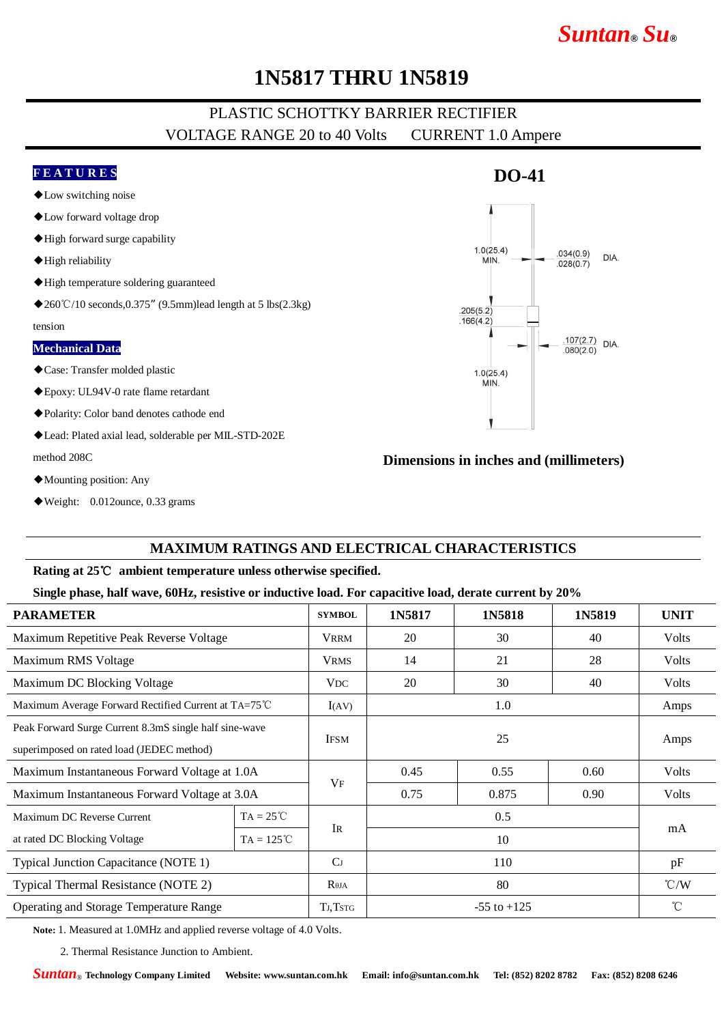# *Suntan***®** *Su***®**

## **1N5817 THRU 1N5819**

### PLASTIC SCHOTTKY BARRIER RECTIFIER VOLTAGE RANGE 20 to 40 Volts CURRENT 1.0 Ampere

### **F E A T U R E S**

- ◆Low switching noise
- ◆Low forward voltage drop
- ◆High forward surge capability
- ◆High reliability
- ◆High temperature soldering guaranteed
- ◆260℃/10 seconds,0.375″ (9.5mm)lead length at 5 lbs(2.3kg)

tension

#### **Mechanical Data**

- ◆Case: Transfer molded plastic
- ◆Epoxy: UL94V-0 rate flame retardant
- ◆Polarity: Color band denotes cathode end
- ◆Lead: Plated axial lead, solderable per MIL-STD-202E method 208C
- ◆Mounting position: Any
- ◆Weight: 0.012ounce, 0.33 grams

### **Dimensions in inches and (millimeters)**

#### **MAXIMUM RATINGS AND ELECTRICAL CHARACTERISTICS**

#### **Rating at 25**℃ **ambient temperature unless otherwise specified.**

#### **Single phase, half wave, 60Hz, resistive or inductive load. For capacitive load, derate current by 20%**

| <b>PARAMETER</b>                                       |                     | <b>SYMBOL</b>   | 1N5817          | 1N5818 | 1N5819 | <b>UNIT</b>     |
|--------------------------------------------------------|---------------------|-----------------|-----------------|--------|--------|-----------------|
| Maximum Repetitive Peak Reverse Voltage                |                     | <b>VRRM</b>     | 20              | 30     | 40     | <b>Volts</b>    |
| Maximum RMS Voltage                                    |                     | <b>VRMS</b>     | 14              | 21     | 28     | <b>Volts</b>    |
| Maximum DC Blocking Voltage                            |                     | <b>VDC</b>      | 20              | 30     | 40     | <b>Volts</b>    |
| Maximum Average Forward Rectified Current at TA=75°C   |                     | I(AV)           | 1.0             |        |        | Amps            |
| Peak Forward Surge Current 8.3mS single half sine-wave |                     | <b>IFSM</b>     | 25              |        |        | Amps            |
| superimposed on rated load (JEDEC method)              |                     |                 |                 |        |        |                 |
| Maximum Instantaneous Forward Voltage at 1.0A          |                     | VF              | 0.45            | 0.55   | 0.60   | Volts           |
| Maximum Instantaneous Forward Voltage at 3.0A          |                     |                 | 0.75            | 0.875  | 0.90   | Volts           |
| Maximum DC Reverse Current                             | $TA = 25^{\circ}C$  |                 | 0.5             |        |        | mA              |
| at rated DC Blocking Voltage                           | $TA = 125^{\circ}C$ | <b>IR</b>       | 10              |        |        |                 |
| Typical Junction Capacitance (NOTE 1)                  |                     | C <sub>J</sub>  | 110             |        |        | pF              |
| Typical Thermal Resistance (NOTE 2)                    |                     | $R_{\theta JA}$ | 80              |        |        | $\mathcal{C}/W$ |
| <b>Operating and Storage Temperature Range</b>         |                     | TJ, TstG        | $-55$ to $+125$ |        |        | $^{\circ}$ C    |

**Note:** 1. Measured at 1.0MHz and applied reverse voltage of 4.0 Volts.

2. Thermal Resistance Junction to Ambient.

*Suntan*® **Technology Company Limited Website: www.suntan.com.hk Email: info@suntan.com.hk Tel: (852) 8202 8782 Fax: (852) 8208 6246**



**DO-41**